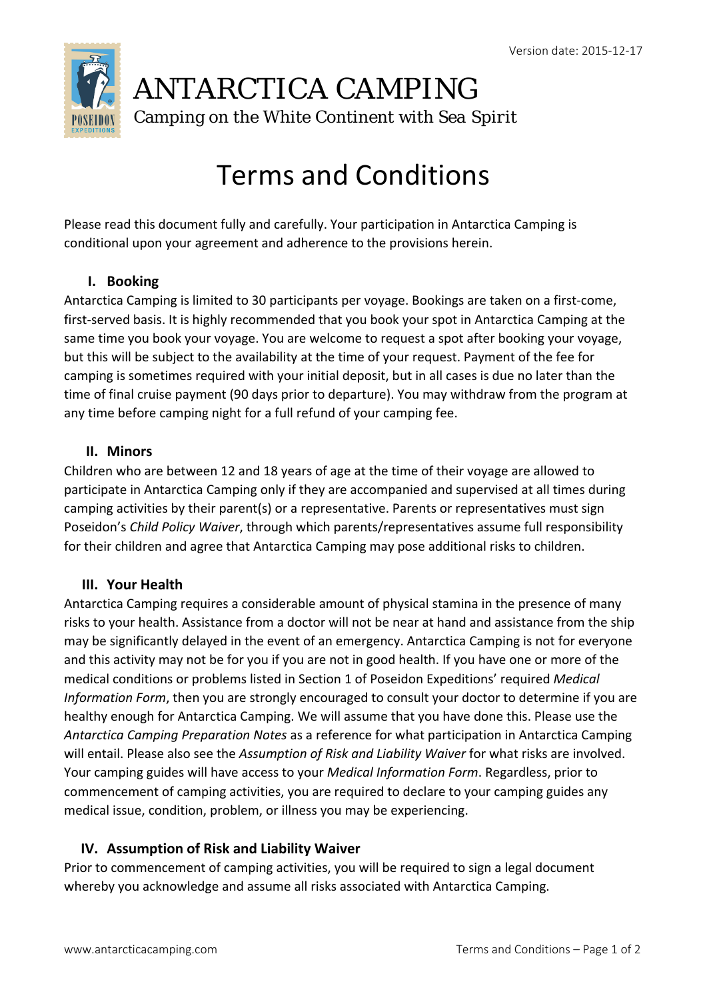

# ANTARCTICA CAMPING

Camping on the White Continent with *Sea Spirit* 

# Terms and Conditions

Please read this document fully and carefully. Your participation in Antarctica Camping is conditional upon your agreement and adherence to the provisions herein.

### **I. Booking**

Antarctica Camping is limited to 30 participants per voyage. Bookings are taken on a first‐come, first-served basis. It is highly recommended that you book your spot in Antarctica Camping at the same time you book your voyage. You are welcome to request a spot after booking your voyage, but this will be subject to the availability at the time of your request. Payment of the fee for camping is sometimes required with your initial deposit, but in all cases is due no later than the time of final cruise payment (90 days prior to departure). You may withdraw from the program at any time before camping night for a full refund of your camping fee.

#### **II. Minors**

Children who are between 12 and 18 years of age at the time of their voyage are allowed to participate in Antarctica Camping only if they are accompanied and supervised at all times during camping activities by their parent(s) or a representative. Parents or representatives must sign Poseidon's *Child Policy Waiver*, through which parents/representatives assume full responsibility for their children and agree that Antarctica Camping may pose additional risks to children.

#### **III. Your Health**

Antarctica Camping requires a considerable amount of physical stamina in the presence of many risks to your health. Assistance from a doctor will not be near at hand and assistance from the ship may be significantly delayed in the event of an emergency. Antarctica Camping is not for everyone and this activity may not be for you if you are not in good health. If you have one or more of the medical conditions or problems listed in Section 1 of Poseidon Expeditions' required *Medical Information Form*, then you are strongly encouraged to consult your doctor to determine if you are healthy enough for Antarctica Camping. We will assume that you have done this. Please use the *Antarctica Camping Preparation Notes* as a reference for what participation in Antarctica Camping will entail. Please also see the *Assumption of Risk and Liability Waiver* for what risks are involved. Your camping guides will have access to your *Medical Information Form*. Regardless, prior to commencement of camping activities, you are required to declare to your camping guides any medical issue, condition, problem, or illness you may be experiencing.

# **IV. Assumption of Risk and Liability Waiver**

Prior to commencement of camping activities, you will be required to sign a legal document whereby you acknowledge and assume all risks associated with Antarctica Camping.